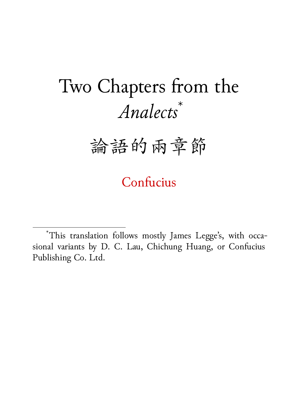# Two Chapters from the *Analects*\*

# 論語的兩章節

Confucius

\*This translation follows mostly James Legge's, with occasional variants by D. C. Lau, Chichung Huang, or Confucius Publishing Co. Ltd.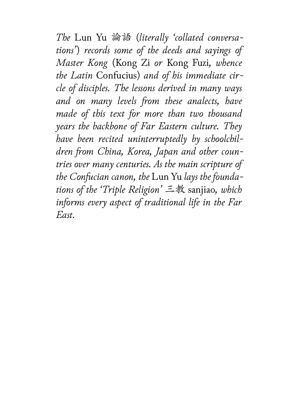*The* Lun Yu 論語 (*literally 'collated conversations'*) *records some of the deeds and sayings of Master Kong* (Kong Zi *or* Kong Fuzi*, whence the Latin* Confucius) *and of his immediate circle of disciples. The lessons derived in many ways and on many levels from these analects, have made of this text for more than two thousand years the backbone of Far Eastern culture. They have been recited uninterruptedly by schoolchildren from China, Korea, Japan and other countries over many centuries. As the main scripture of the Confucian canon, the* Lun Yu *lays the foundations of the 'Triple Religion'* 三教 sanjiao*, which informs every aspect of traditional life in the Far East.*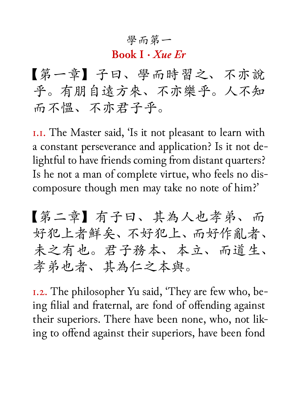#### 學而第一

#### **Book I ·** *Xue Er*

【第一章】子曰、學而時習之、不亦說 乎。有朋自遠方來、不亦樂乎。人不知 而不慍、不亦君子乎。

1.1. The Master said, 'Is it not pleasant to learn with a constant perseverance and application? Is it not delightful to have friends coming from distant quarters? Is he not a man of complete virtue, who feels no discomposure though men may take no note of him?'

【第二章】有子曰、其為人也孝弟、而 好犯上者鮮矣、不好犯上、而好作亂者、 未之有也。君子務本、本立、而道生、 孝弟也者、其為仁之本與。

1.2. The philosopher Yu said, 'They are few who, being filial and fraternal, are fond of offending against their superiors. There have been none, who, not liking to offend against their superiors, have been fond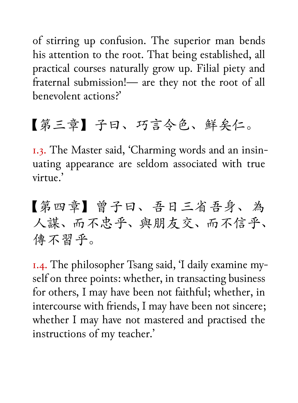of stirring up confusion. The superior man bends his attention to the root. That being established, all practical courses naturally grow up. Filial piety and fraternal submission!— are they not the root of all benevolent actions?'

# 【第三章】子曰、巧言令色、鮮矣仁。

1.3. The Master said, 'Charming words and an insinuating appearance are seldom associated with true virtue<sup>'</sup>

【第四章】曾子曰、吾日三省吾身、為 人謀、而不忠乎、與朋友交、而不信乎、 傳不習乎。

1.4. The philosopher Tsang said, 'I daily examine myself on three points: whether, in transacting business for others, I may have been not faithful; whether, in intercourse with friends, I may have been not sincere; whether I may have not mastered and practised the instructions of my teacher.'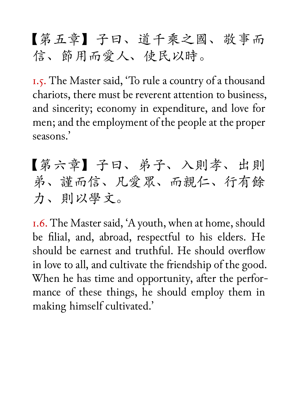### 【第五章】子曰、道千乘之國、敬事而 信、節用而愛人、使民以時。

1.5. The Master said, 'To rule a country of a thousand chariots, there must be reverent attention to business, and sincerity; economy in expenditure, and love for men; and the employment of the people at the proper seasons.'

【第六章】子曰、弟子、入則孝、出則 弟、謹而信、凡愛眾、而親仁、行有餘 力、則以學文。

1.6. The Master said, 'A youth, when at home, should be filial, and, abroad, respectful to his elders. He should be earnest and truthful. He should overflow in love to all, and cultivate the friendship of the good. When he has time and opportunity, after the performance of these things, he should employ them in making himself cultivated.'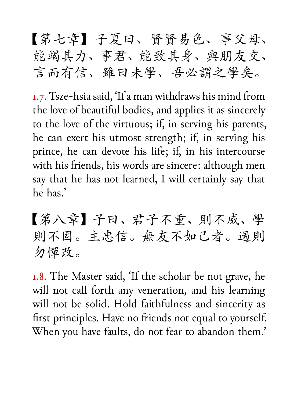【第七章】子夏曰、賢賢易色、事父母、 能竭其力、事君、能致其身、與朋友交、 言而有信、雖曰未學、吾必謂之學矣。

1.7. Tsze-hsia said, 'If a man withdraws his mind from the love of beautiful bodies, and applies it as sincerely to the love of the virtuous; if, in serving his parents, he can exert his utmost strength; if, in serving his prince, he can devote his life; if, in his intercourse with his friends, his words are sincere: although men say that he has not learned, I will certainly say that he has.'

【第八章】子曰、君子不重、則不威、學 則不固。主忠信。無友不如己者。過則 勿憚改。

1.8. The Master said, 'If the scholar be not grave, he will not call forth any veneration, and his learning will not be solid. Hold faithfulness and sincerity as first principles. Have no friends not equal to yourself. When you have faults, do not fear to abandon them.'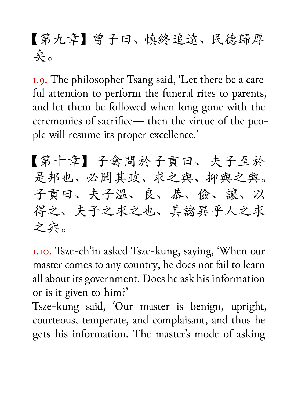## 【第九章】曾子曰、慎終追遠、民德歸厚 矣。

1.9. The philosopher Tsang said, 'Let there be a careful attention to perform the funeral rites to parents, and let them be followed when long gone with the ceremonies of sacrifice— then the virtue of the people will resume its proper excellence.'

【第十章】子禽問於子貢曰、夫子至於 是邦也、必聞其政、求之與、抑與之與。 子貢曰、夫子溫、良、恭、儉、讓、以 得之、夫子之求之也、其諸異乎人之求 之與。

1.10. Tsze-ch'in asked Tsze-kung, saying, 'When our master comes to any country, he does not fail to learn all about its government. Does he ask his information or is it given to him?'

Tsze-kung said, 'Our master is benign, upright, courteous, temperate, and complaisant, and thus he gets his information. The master's mode of asking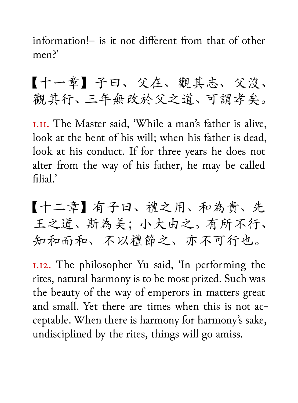information!– is it not different from that of other men<sup>?'</sup>

【十一章】子曰、父在、觀其志、父沒、 觀其行、三年無改於父之道、可謂孝矣。

1.11. The Master said, 'While a man's father is alive, look at the bent of his will; when his father is dead, look at his conduct. If for three years he does not alter from the way of his father, he may be called filial.'

【十二章】有子曰、禮之用、和為貴、先 王之道、斯為美;小大由之。有所不行、 知和而和、不以禮節之、亦不可行也。

1.12. The philosopher Yu said, 'In performing the rites, natural harmony is to be most prized. Such was the beauty of the way of emperors in matters great and small. Yet there are times when this is not acceptable. When there is harmony for harmony's sake, undisciplined by the rites, things will go amiss.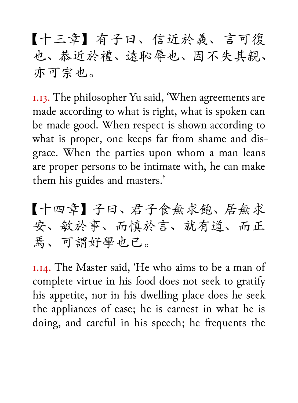【十三章】有子曰、信近於義、言可復 也、恭近於禮、遠恥辱也、因不失其親、 亦可宗也。

1.13. The philosopher Yu said, 'When agreements are made according to what is right, what is spoken can be made good. When respect is shown according to what is proper, one keeps far from shame and disgrace. When the parties upon whom a man leans are proper persons to be intimate with, he can make them his guides and masters.'

【十四章】子曰、君子食無求飽、居無求 安、敏於事、而慎於言、就有道、而正 焉、可謂好學也已。

1.14. The Master said, 'He who aims to be a man of complete virtue in his food does not seek to gratify his appetite, nor in his dwelling place does he seek the appliances of ease; he is earnest in what he is doing, and careful in his speech; he frequents the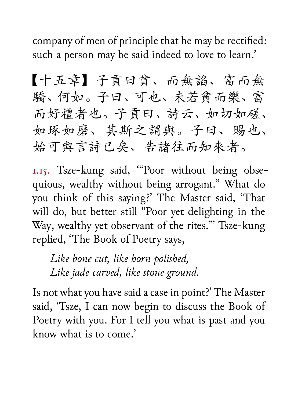company of men of principle that he may be rectified: such a person may be said indeed to love to learn.'

【十五章】子貢曰貧、而無諂、富而無 驕、何如。子曰、可也、未若貧而樂、富 而好禮者也。子貢曰、詩云、如切如磋、 如琢如磨、其斯之謂與。子曰、賜也、 始可與言詩已矣、告諸往而知來者。

1.15. Tsze-kung said, '"Poor without being obsequious, wealthy without being arrogant." What do you think of this saying?' The Master said, 'That will do, but better still "Poor yet delighting in the Way, wealthy yet observant of the rites."' Tsze-kung replied, 'The Book of Poetry says,

*Like bone cut, like horn polished, Like jade carved, like stone ground.*

Is not what you have said a case in point?' The Master said, 'Tsze, I can now begin to discuss the Book of Poetry with you. For I tell you what is past and you know what is to come.'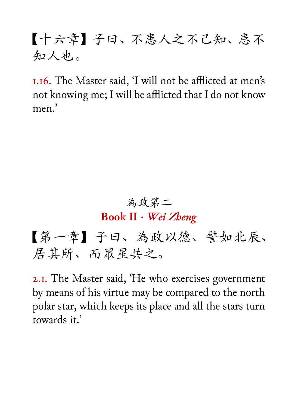### 【十六章】子曰、不患人之不己知、患不 知人也。

1.16. The Master said, 'I will not be afflicted at men's not knowing me; I will be afflicted that I do not know men<sup>'</sup>

#### 為政第二

#### **Book II ·** *Wei Zheng*

【第一章】子曰、為政以德、譬如北辰、 居其所、而眾星共之。

2.1. The Master said, 'He who exercises government by means of his virtue may be compared to the north polar star, which keeps its place and all the stars turn towards it.'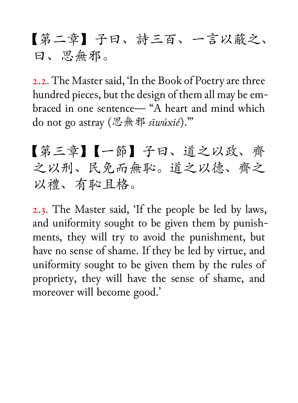### 【第二章】子曰、詩三百、一言以蔽之、 曰、思無邪。

2.2. The Master said, 'In the Book of Poetry are three hundred pieces, but the design of them all may be embraced in one sentence— "A heart and mind which do not go astray (思無邪 *sīwúxié*)."'

【第三章】【一節】子曰、道之以政、齊 之以刑、民免而無恥。道之以德、齊之 以禮、有恥且格。

2.3. The Master said, 'If the people be led by laws, and uniformity sought to be given them by punishments, they will try to avoid the punishment, but have no sense of shame. If they be led by virtue, and uniformity sought to be given them by the rules of propriety, they will have the sense of shame, and moreover will become good.'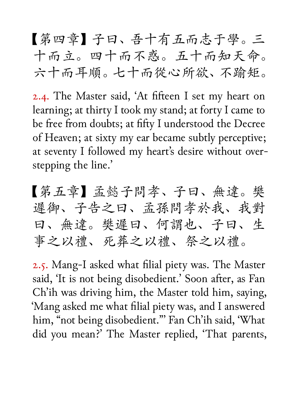【第四章】子曰、吾十有五而志于學。三 十而立。四十而不惑。五十而知天命。 六十而耳順。七十而從心所欲、不踰矩。

2.4. The Master said, 'At fifteen I set my heart on learning; at thirty I took my stand; at forty I came to be free from doubts; at fifty I understood the Decree of Heaven; at sixty my ear became subtly perceptive; at seventy I followed my heart's desire without overstepping the line.'

【第五章】孟懿子問孝、子曰、無違。樊 遲御、子告之曰、孟孫問孝於我、我對 曰、無違。樊遲曰、何謂也、子曰、生 事之以禮、死葬之以禮、祭之以禮。

2.5. Mang-I asked what filial piety was. The Master said, 'It is not being disobedient.' Soon after, as Fan Ch'ih was driving him, the Master told him, saying, 'Mang asked me what filial piety was, and I answered him, "not being disobedient."' Fan Ch'ih said, 'What did you mean?' The Master replied, 'That parents,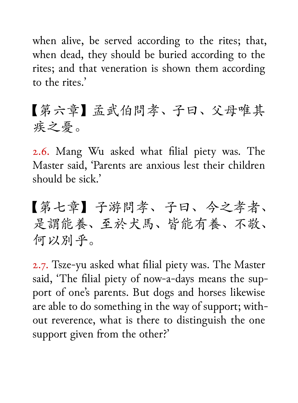when alive, be served according to the rites; that, when dead, they should be buried according to the rites; and that veneration is shown them according to the rites.'

【第六章】孟武伯問孝、子曰、父母唯其 疾之憂。

2.6. Mang Wu asked what filial piety was. The Master said, 'Parents are anxious lest their children should be sick.'

【第七章】子游問孝、子曰、今之孝者、 是謂能養、至於犬馬、皆能有養、不敬、 何以別乎。

2.7. Tsze-yu asked what filial piety was. The Master said, 'The filial piety of now-a-days means the support of one's parents. But dogs and horses likewise are able to do something in the way of support; without reverence, what is there to distinguish the one support given from the other?'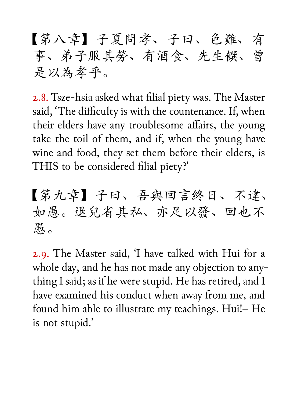【第八章】子夏問孝、子曰、色難、有 事、弟子服其勞、有酒食、先生饌、曾 是以為孝乎。

2.8. Tsze-hsia asked what filial piety was. The Master said, 'The difficulty is with the countenance. If, when their elders have any troublesome affairs, the young take the toil of them, and if, when the young have wine and food, they set them before their elders, is THIS to be considered filial piety?'

【第九章】子曰、吾與回言終日、不違、 如愚。退兒省其私、亦足以發、回也不 愚。

2.9. The Master said, 'I have talked with Hui for a whole day, and he has not made any objection to anything I said; as if he were stupid. He has retired, and I have examined his conduct when away from me, and found him able to illustrate my teachings. Hui!– He is not stupid.'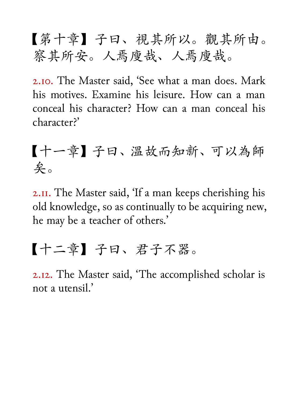【第十章】子曰、視其所以。觀其所由。 察其所安。人焉廋哉、人焉廋哉。

2.10. The Master said, 'See what a man does. Mark his motives. Examine his leisure. How can a man conceal his character? How can a man conceal his character?'

【十一章】子曰、溫故而知新、可以為師 矣。

2.11. The Master said, 'If a man keeps cherishing his old knowledge, so as continually to be acquiring new, he may be a teacher of others.'

### 【十二章】子曰、君子不器。

2.12. The Master said, 'The accomplished scholar is not a utensil.'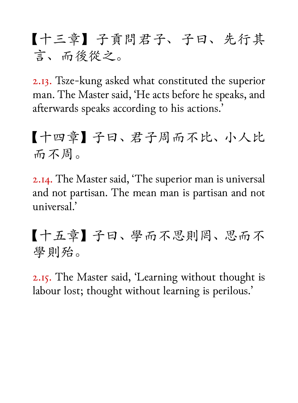【十三章】子貢問君子、子曰、先行其 言、而後從之。

2.13. Tsze-kung asked what constituted the superior man. The Master said, 'He acts before he speaks, and afterwards speaks according to his actions.'

【十四章】子曰、君子周而不比、小人比 而不周。

2.14. The Master said, 'The superior man is universal and not partisan. The mean man is partisan and not universal.'

【十五章】子曰、學而不思則罔、思而不 學則殆。

2.15. The Master said, 'Learning without thought is labour lost; thought without learning is perilous.'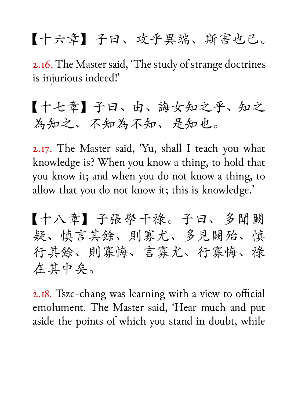## 【十六章】子曰、攻乎異端、斯害也己。

2.16. The Master said, 'The study of strange doctrines is injurious indeed!'

### 【十七章】子曰、由、誨女知之乎、知之 為知之、不知為不知、是知也。

2.17. The Master said, 'Yu, shall I teach you what knowledge is? When you know a thing, to hold that you know it; and when you do not know a thing, to allow that you do not know it; this is knowledge.'

【十八章】子張學干祿。子曰、多聞闕 疑、慎言其餘、則寡尤、多見闕殆、慎 行其餘、則寡悔、言寡尤、行寡悔、祿 在其中矣。

2.18. Tsze-chang was learning with a view to official emolument. The Master said, 'Hear much and put aside the points of which you stand in doubt, while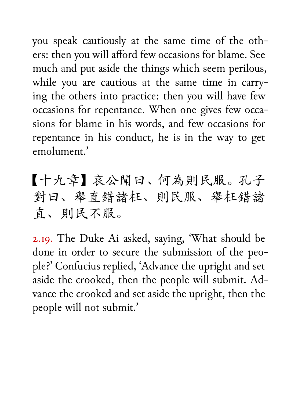you speak cautiously at the same time of the others: then you will afford few occasions for blame. See much and put aside the things which seem perilous, while you are cautious at the same time in carrying the others into practice: then you will have few occasions for repentance. When one gives few occasions for blame in his words, and few occasions for repentance in his conduct, he is in the way to get emolument.'

【十九章】哀公聞曰、何為則民服。孔子 對曰、舉直錯諸枉、則民服、舉枉錯諸 直、則民不服。

2.19. The Duke Ai asked, saying, 'What should be done in order to secure the submission of the people?' Confucius replied, 'Advance the upright and set aside the crooked, then the people will submit. Advance the crooked and set aside the upright, then the people will not submit.'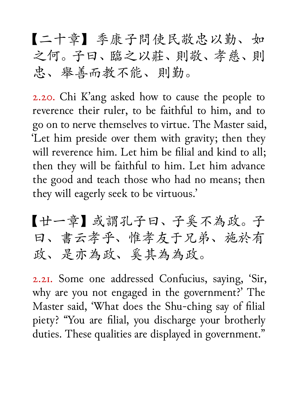【二十章】季康子問使民敬忠以勤、如 之何。子曰、臨之以莊、則敬、孝慈、則 忠、舉善而教不能、則勤。

2.20. Chi K'ang asked how to cause the people to reverence their ruler, to be faithful to him, and to go on to nerve themselves to virtue. The Master said, 'Let him preside over them with gravity; then they will reverence him. Let him be filial and kind to all; then they will be faithful to him. Let him advance the good and teach those who had no means; then they will eagerly seek to be virtuous.'

【廿一章】或謂孔子曰、子奚不為政。子 曰、書云孝乎、惟孝友于兄弟、施於有 政、是亦為政、奚其為為政。

2.21. Some one addressed Confucius, saying, 'Sir, why are you not engaged in the government?' The Master said, 'What does the Shu-ching say of filial piety? "You are filial, you discharge your brotherly duties. These qualities are displayed in government."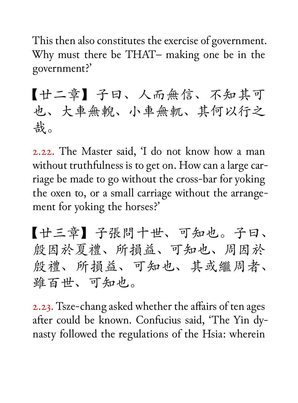This then also constitutes the exercise of government. Why must there be THAT– making one be in the government?'

【廿二章】子曰、人而無信、不知其可 也、大車無輗、小車無軏、其何以行之 哉。

2.22. The Master said, 'I do not know how a man without truthfulness is to get on. How can a large carriage be made to go without the cross-bar for yoking the oxen to, or a small carriage without the arrangement for yoking the horses?'

【廿三章】子張問十世、可知也。子曰、 殷因於夏禮、所損益、可知也、周因於 殷禮、所損益、可知也、其或繼周者、 雖百世、可知也。

2.23. Tsze-chang asked whether the affairs of ten ages after could be known. Confucius said, 'The Yin dynasty followed the regulations of the Hsia: wherein